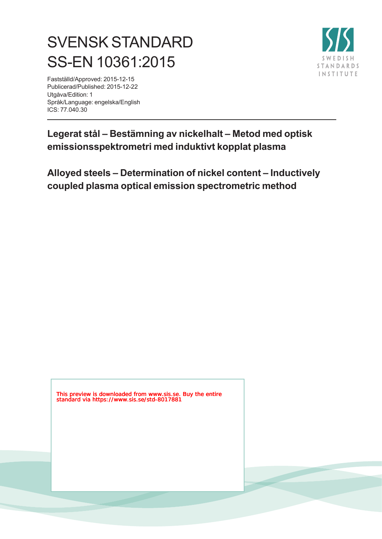# SVENSK STANDARD SS-EN 10361:2015

**SWEDISH STANDARDS INSTITUTE** 

Fastställd/Approved: 2015-12-15 Publicerad/Published: 2015-12-22 Utgåva/Edition: 1 Språk/Language: engelska/English ICS: 77.040.30

# **Legerat stål – Bestämning av nickelhalt – Metod med optisk emissionsspektrometri med induktivt kopplat plasma**

**Alloyed steels – Determination of nickel content – Inductively coupled plasma optical emission spectrometric method**

This preview is downloaded from www.sis.se. Buy the entire standard via https://www.sis.se/std-8017881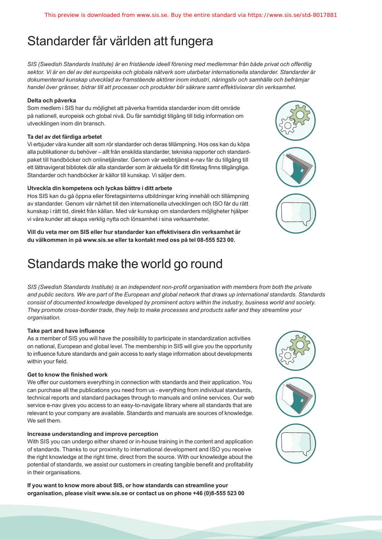# Standarder får världen att fungera

*SIS (Swedish Standards Institute) är en fristående ideell förening med medlemmar från både privat och offentlig sektor. Vi är en del av det europeiska och globala nätverk som utarbetar internationella standarder. Standarder är dokumenterad kunskap utvecklad av framstående aktörer inom industri, näringsliv och samhälle och befrämjar handel över gränser, bidrar till att processer och produkter blir säkrare samt effektiviserar din verksamhet.* 

#### **Delta och påverka**

Som medlem i SIS har du möjlighet att påverka framtida standarder inom ditt område på nationell, europeisk och global nivå. Du får samtidigt tillgång till tidig information om utvecklingen inom din bransch.

#### **Ta del av det färdiga arbetet**

Vi erbjuder våra kunder allt som rör standarder och deras tillämpning. Hos oss kan du köpa alla publikationer du behöver – allt från enskilda standarder, tekniska rapporter och standardpaket till handböcker och onlinetjänster. Genom vår webbtjänst e-nav får du tillgång till ett lättnavigerat bibliotek där alla standarder som är aktuella för ditt företag finns tillgängliga. Standarder och handböcker är källor till kunskap. Vi säljer dem.

#### **Utveckla din kompetens och lyckas bättre i ditt arbete**

Hos SIS kan du gå öppna eller företagsinterna utbildningar kring innehåll och tillämpning av standarder. Genom vår närhet till den internationella utvecklingen och ISO får du rätt kunskap i rätt tid, direkt från källan. Med vår kunskap om standarders möjligheter hjälper vi våra kunder att skapa verklig nytta och lönsamhet i sina verksamheter.

**Vill du veta mer om SIS eller hur standarder kan effektivisera din verksamhet är du välkommen in på www.sis.se eller ta kontakt med oss på tel 08-555 523 00.**

# Standards make the world go round

*SIS (Swedish Standards Institute) is an independent non-profit organisation with members from both the private and public sectors. We are part of the European and global network that draws up international standards. Standards consist of documented knowledge developed by prominent actors within the industry, business world and society. They promote cross-border trade, they help to make processes and products safer and they streamline your organisation.*

#### **Take part and have influence**

As a member of SIS you will have the possibility to participate in standardization activities on national, European and global level. The membership in SIS will give you the opportunity to influence future standards and gain access to early stage information about developments within your field.

#### **Get to know the finished work**

We offer our customers everything in connection with standards and their application. You can purchase all the publications you need from us - everything from individual standards, technical reports and standard packages through to manuals and online services. Our web service e-nav gives you access to an easy-to-navigate library where all standards that are relevant to your company are available. Standards and manuals are sources of knowledge. We sell them.

#### **Increase understanding and improve perception**

With SIS you can undergo either shared or in-house training in the content and application of standards. Thanks to our proximity to international development and ISO you receive the right knowledge at the right time, direct from the source. With our knowledge about the potential of standards, we assist our customers in creating tangible benefit and profitability in their organisations.

**If you want to know more about SIS, or how standards can streamline your organisation, please visit www.sis.se or contact us on phone +46 (0)8-555 523 00**



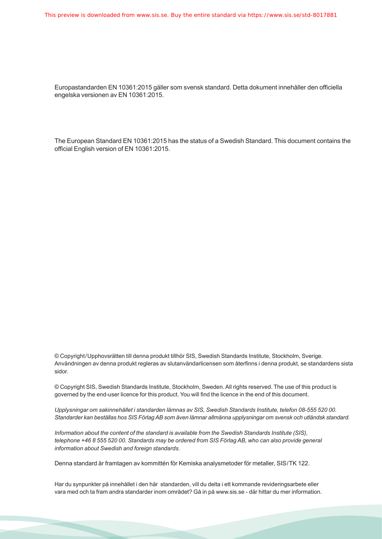Europastandarden EN 10361:2015 gäller som svensk standard. Detta dokument innehåller den officiella engelska versionen av EN 10361:2015.

The European Standard EN 10361:2015 has the status of a Swedish Standard. This document contains the official English version of EN 10361:2015.

© Copyright / Upphovsrätten till denna produkt tillhör SIS, Swedish Standards Institute, Stockholm, Sverige. Användningen av denna produkt regleras av slutanvändarlicensen som återfinns i denna produkt, se standardens sista sidor.

© Copyright SIS, Swedish Standards Institute, Stockholm, Sweden. All rights reserved. The use of this product is governed by the end-user licence for this product. You will find the licence in the end of this document.

*Upplysningar om sakinnehållet i standarden lämnas av SIS, Swedish Standards Institute, telefon 08-555 520 00. Standarder kan beställas hos SIS Förlag AB som även lämnar allmänna upplysningar om svensk och utländsk standard.*

*Information about the content of the standard is available from the Swedish Standards Institute (SIS), telephone +46 8 555 520 00. Standards may be ordered from SIS Förlag AB, who can also provide general information about Swedish and foreign standards.*

Denna standard är framtagen av kommittén för Kemiska analysmetoder för metaller, SIS / TK 122.

Har du synpunkter på innehållet i den här standarden, vill du delta i ett kommande revideringsarbete eller vara med och ta fram andra standarder inom området? Gå in på www.sis.se - där hittar du mer information.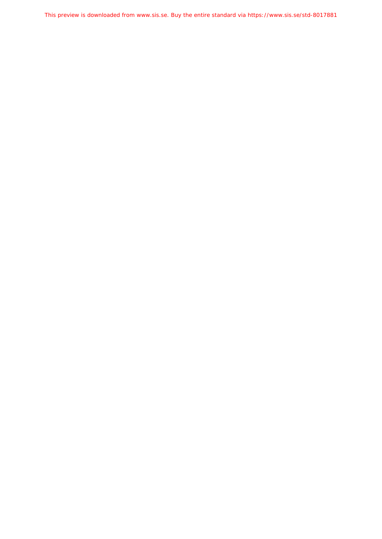This preview is downloaded from www.sis.se. Buy the entire standard via https://www.sis.se/std-8017881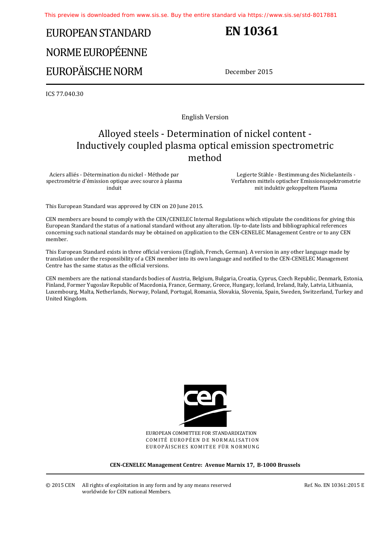# EUROPEAN STANDARD NORME EUROPÉENNE EUROPÄISCHE NORM

# **EN 10361**

December 2015

ICS 77.040.30

English Version

## Alloyed steels - Determination of nickel content - Inductively coupled plasma optical emission spectrometric method

Aciers alliés - Détermination du nickel - Méthode par spectrométrie d'émission optique avec source à plasma induit

 Legierte Stähle - Bestimmung des Nickelanteils - Verfahren mittels optischer Emissionsspektrometrie mit induktiv gekoppeltem Plasma

This European Standard was approved by CEN on 20 June 2015.

CEN members are bound to comply with the CEN/CENELEC Internal Regulations which stipulate the conditions for giving this European Standard the status of a national standard without any alteration. Up-to-date lists and bibliographical references concerning such national standards may be obtained on application to the CEN-CENELEC Management Centre or to any CEN member.

This European Standard exists in three official versions (English, French, German). A version in any other language made by translation under the responsibility of a CEN member into its own language and notified to the CEN-CENELEC Management Centre has the same status as the official versions.

CEN members are the national standards bodies of Austria, Belgium, Bulgaria, Croatia, Cyprus, Czech Republic, Denmark, Estonia, Finland, Former Yugoslav Republic of Macedonia, France, Germany, Greece, Hungary, Iceland, Ireland, Italy, Latvia, Lithuania, Luxembourg, Malta, Netherlands, Norway, Poland, Portugal, Romania, Slovakia, Slovenia, Spain, Sweden, Switzerland, Turkey and United Kingdom.



EUROPEAN COMMITTEE FOR STANDARDIZATION COMITÉ EUROPÉEN DE NORMALISATION EUROPÄISCHES KOMITEE FÜR NORMUNG

**CEN-CENELEC Management Centre: Avenue Marnix 17, B-1000 Brussels**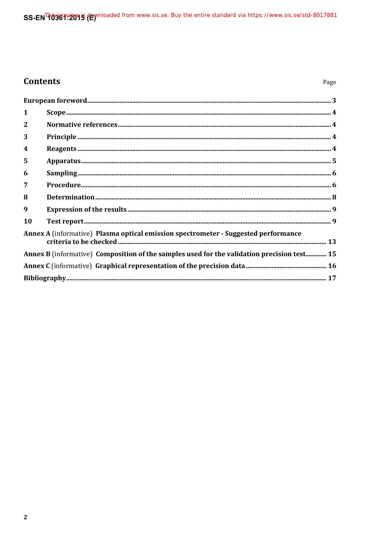## **Contents**

| ${\bf European\; foreword.}\label{prop:2} 3$                                               |                                                                                    |
|--------------------------------------------------------------------------------------------|------------------------------------------------------------------------------------|
| $\mathbf{1}$                                                                               |                                                                                    |
| $\mathbf{2}$                                                                               |                                                                                    |
| 3                                                                                          |                                                                                    |
| $\overline{\mathbf{4}}$                                                                    |                                                                                    |
| 5                                                                                          |                                                                                    |
| 6                                                                                          |                                                                                    |
| 7                                                                                          |                                                                                    |
| 8                                                                                          |                                                                                    |
| 9                                                                                          |                                                                                    |
| 10                                                                                         |                                                                                    |
|                                                                                            | Annex A (informative) Plasma optical emission spectrometer - Suggested performance |
| Annex B (informative) Composition of the samples used for the validation precision test 15 |                                                                                    |
|                                                                                            |                                                                                    |
|                                                                                            |                                                                                    |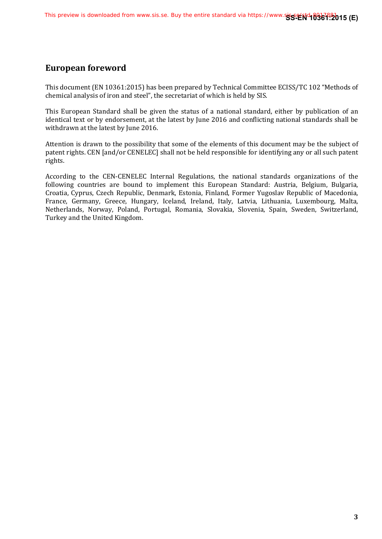### <span id="page-6-0"></span>**European foreword**

This document (EN 10361:2015) has been prepared by Technical Committee ECISS/TC 102 "Methods of chemical analysis of iron and steel", the secretariat of which is held by SIS.

This European Standard shall be given the status of a national standard, either by publication of an identical text or by endorsement, at the latest by June 2016 and conflicting national standards shall be withdrawn at the latest by June 2016.

Attention is drawn to the possibility that some of the elements of this document may be the subject of patent rights. CEN [and/or CENELEC] shall not be held responsible for identifying any or all such patent rights.

According to the CEN-CENELEC Internal Regulations, the national standards organizations of the following countries are bound to implement this European Standard: Austria, Belgium, Bulgaria, Croatia, Cyprus, Czech Republic, Denmark, Estonia, Finland, Former Yugoslav Republic of Macedonia, France, Germany, Greece, Hungary, Iceland, Ireland, Italy, Latvia, Lithuania, Luxembourg, Malta, Netherlands, Norway, Poland, Portugal, Romania, Slovakia, Slovenia, Spain, Sweden, Switzerland, Turkey and the United Kingdom.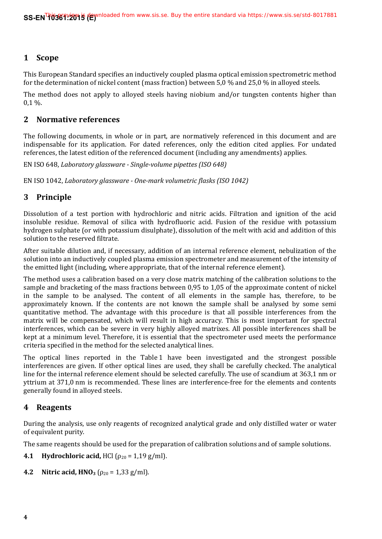#### <span id="page-7-0"></span>**1 Scope**

This European Standard specifies an inductively coupled plasma optical emission spectrometric method for the determination of nickel content (mass fraction) between 5,0 % and 25,0 % in alloyed steels.

The method does not apply to alloyed steels having niobium and/or tungsten contents higher than  $0.1 \%$ .

#### <span id="page-7-1"></span>**2 Normative references**

The following documents, in whole or in part, are normatively referenced in this document and are indispensable for its application. For dated references, only the edition cited applies. For undated references, the latest edition of the referenced document (including any amendments) applies.

EN ISO 648, *Laboratory glassware - Single-volume pipettes (ISO 648)*

EN ISO 1042, *Laboratory glassware - One-mark volumetric flasks (ISO 1042)*

### <span id="page-7-2"></span>**3 Principle**

Dissolution of a test portion with hydrochloric and nitric acids. Filtration and ignition of the acid insoluble residue. Removal of silica with hydrofluoric acid. Fusion of the residue with potassium hydrogen sulphate (or with potassium disulphate), dissolution of the melt with acid and addition of this solution to the reserved filtrate.

After suitable dilution and, if necessary, addition of an internal reference element, nebulization of the solution into an inductively coupled plasma emission spectrometer and measurement of the intensity of the emitted light (including, where appropriate, that of the internal reference element).

The method uses a calibration based on a very close matrix matching of the calibration solutions to the sample and bracketing of the mass fractions between 0,95 to 1,05 of the approximate content of nickel in the sample to be analysed. The content of all elements in the sample has, therefore, to be approximately known. If the contents are not known the sample shall be analysed by some semi quantitative method. The advantage with this procedure is that all possible interferences from the matrix will be compensated, which will result in high accuracy. This is most important for spectral interferences, which can be severe in very highly alloyed matrixes. All possible interferences shall be kept at a minimum level. Therefore, it is essential that the spectrometer used meets the performance criteria specified in the method for the selected analytical lines.

The optical lines reported in the Table 1 have been investigated and the strongest possible interferences are given. If other optical lines are used, they shall be carefully checked. The analytical line for the internal reference element should be selected carefully. The use of scandium at 363,1 nm or yttrium at 371,0 nm is recommended. These lines are interference-free for the elements and contents generally found in alloyed steels.

### <span id="page-7-3"></span>**4 Reagents**

During the analysis, use only reagents of recognized analytical grade and only distilled water or water of equivalent purity.

The same reagents should be used for the preparation of calibration solutions and of sample solutions.

- **4.1 Hydrochloric acid,**  $HCl$  ( $\rho_{20} = 1.19$  g/ml).
- **4.2 Nitric acid, HNO**<sub>3</sub> ( $\rho_{20} = 1.33$  g/ml).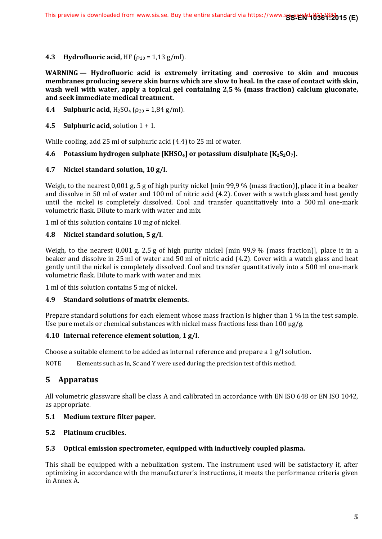#### **4.3 Hydrofluoric acid,** HF ( $\rho_{20} = 1.13$  g/ml).

**WARNING — Hydrofluoric acid is extremely irritating and corrosive to skin and mucous membranes producing severe skin burns which are slow to heal. In the case of contact with skin, wash well with water, apply a topical gel containing 2,5 % (mass fraction) calcium gluconate, and seek immediate medical treatment.**

- **4.4 Sulphuric acid,**  $H_2SO_4$  ( $\rho_{20} = 1.84$  g/ml).
- **4.5 Sulphuric acid,** solution 1 + 1.

While cooling, add 25 ml of sulphuric acid (4.4) to 25 ml of water.

#### **4.6** Potassium hydrogen sulphate [KHSO<sub>4</sub>] or potassium disulphate [K<sub>2</sub>S<sub>2</sub>O<sub>7</sub>].

#### **4.7 Nickel standard solution, 10 g/l.**

Weigh, to the nearest 0,001 g, 5 g of high purity nickel [min 99,9 % (mass fraction)], place it in a beaker and dissolve in 50 ml of water and 100 ml of nitric acid (4.2). Cover with a watch glass and heat gently until the nickel is completely dissolved. Cool and transfer quantitatively into a 500 ml one-mark volumetric flask. Dilute to mark with water and mix.

1 ml of this solution contains 10 mg of nickel.

#### **4.8 Nickel standard solution, 5 g/l.**

Weigh, to the nearest 0,001 g, 2,5 g of high purity nickel [min 99,9 % (mass fraction)], place it in a beaker and dissolve in 25 ml of water and 50 ml of nitric acid (4.2). Cover with a watch glass and heat gently until the nickel is completely dissolved. Cool and transfer quantitatively into a 500 ml one-mark volumetric flask. Dilute to mark with water and mix.

1 ml of this solution contains 5 mg of nickel.

#### **4.9 Standard solutions of matrix elements.**

Prepare standard solutions for each element whose mass fraction is higher than 1 % in the test sample. Use pure metals or chemical substances with nickel mass fractions less than  $100 \mu g/g$ .

#### **4.10 Internal reference element solution, 1 g/l.**

Choose a suitable element to be added as internal reference and prepare a 1 g/l solution.

NOTE Elements such as In, Sc and Y were used during the precision test of this method.

### <span id="page-8-0"></span>**5 Apparatus**

All volumetric glassware shall be class A and calibrated in accordance with EN ISO 648 or EN ISO 1042, as appropriate.

#### **5.1 Medium texture filter paper.**

#### **5.2 Platinum crucibles.**

#### **5.3 Optical emission spectrometer, equipped with inductively coupled plasma.**

This shall be equipped with a nebulization system. The instrument used will be satisfactory if, after optimizing in accordance with the manufacturer's instructions, it meets the performance criteria given in Annex A.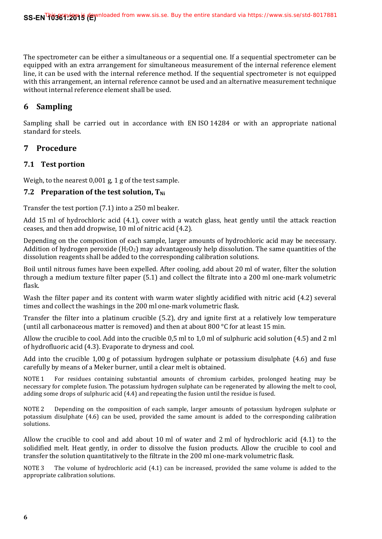The spectrometer can be either a simultaneous or a sequential one. If a sequential spectrometer can be equipped with an extra arrangement for simultaneous measurement of the internal reference element line, it can be used with the internal reference method. If the sequential spectrometer is not equipped with this arrangement, an internal reference cannot be used and an alternative measurement technique without internal reference element shall be used.

### <span id="page-9-0"></span>**6 Sampling**

Sampling shall be carried out in accordance with EN ISO 14284 or with an appropriate national standard for steels.

### <span id="page-9-1"></span>**7 Procedure**

#### **7.1 Test portion**

Weigh, to the nearest 0,001 g, 1 g of the test sample.

#### **7.2 Preparation of the test solution,**  $T_{\text{Ni}}$

Transfer the test portion (7.1) into a 250 ml beaker.

Add 15 ml of hydrochloric acid (4.1), cover with a watch glass, heat gently until the attack reaction ceases, and then add dropwise, 10 ml of nitric acid (4.2).

Depending on the composition of each sample, larger amounts of hydrochloric acid may be necessary. Addition of hydrogen peroxide  $(H_2O_2)$  may advantageously help dissolution. The same quantities of the dissolution reagents shall be added to the corresponding calibration solutions.

Boil until nitrous fumes have been expelled. After cooling, add about 20 ml of water, filter the solution through a medium texture filter paper (5.1) and collect the filtrate into a 200 ml one-mark volumetric flask.

Wash the filter paper and its content with warm water slightly acidified with nitric acid (4.2) several times and collect the washings in the 200 ml one-mark volumetric flask.

Transfer the filter into a platinum crucible (5.2), dry and ignite first at a relatively low temperature (until all carbonaceous matter is removed) and then at about 800  $\degree$ C for at least 15 min.

Allow the crucible to cool. Add into the crucible 0,5 ml to 1,0 ml of sulphuric acid solution (4.5) and 2 ml of hydrofluoric acid (4.3). Evaporate to dryness and cool.

Add into the crucible 1,00 g of potassium hydrogen sulphate or potassium disulphate (4.6) and fuse carefully by means of a Meker burner, until a clear melt is obtained.

NOTE 1 For residues containing substantial amounts of chromium carbides, prolonged heating may be necessary for complete fusion. The potassium hydrogen sulphate can be regenerated by allowing the melt to cool, adding some drops of sulphuric acid (4.4) and repeating the fusion until the residue is fused.

NOTE 2 Depending on the composition of each sample, larger amounts of potassium hydrogen sulphate or potassium disulphate (4.6) can be used, provided the same amount is added to the corresponding calibration solutions.

Allow the crucible to cool and add about 10 ml of water and 2 ml of hydrochloric acid (4.1) to the solidified melt. Heat gently, in order to dissolve the fusion products. Allow the crucible to cool and transfer the solution quantitatively to the filtrate in the 200 ml one-mark volumetric flask.

NOTE 3 The volume of hydrochloric acid (4.1) can be increased, provided the same volume is added to the appropriate calibration solutions.